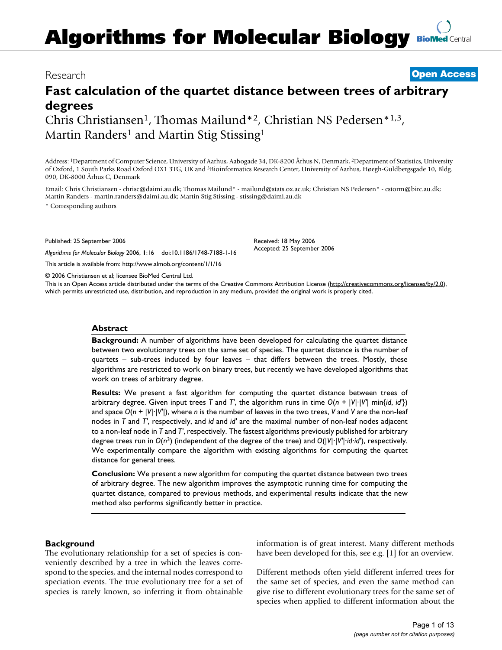# **Algorithms for Molecular Biology [BioMed](http://www.biomedcentral.com/)** Central

## Research **[Open Access](http://www.biomedcentral.com/info/about/charter/)**

## **Fast calculation of the quartet distance between trees of arbitrary degrees**

Chris Christiansen<sup>1</sup>, Thomas Mailund<sup>\*2</sup>, Christian NS Pedersen<sup>\*1,3</sup>, Martin Randers<sup>1</sup> and Martin Stig Stissing<sup>1</sup>

Address: 1Department of Computer Science, University of Aarhus, Aabogade 34, DK-8200 Århus N, Denmark, 2Department of Statistics, University of Oxford, 1 South Parks Road Oxford OX1 3TG, UK and 3Bioinformatics Research Center, University of Aarhus, Høegh-Guldbergsgade 10, Bldg. 090, DK-8000 Århus C, Denmark

Email: Chris Christiansen - chrisc@daimi.au.dk; Thomas Mailund\* - mailund@stats.ox.ac.uk; Christian NS Pedersen\* - cstorm@birc.au.dk; Martin Randers - martin.randers@daimi.au.dk; Martin Stig Stissing - stissing@daimi.au.dk

\* Corresponding authors

Published: 25 September 2006

*Algorithms for Molecular Biology* 2006, **1**:16 doi:10.1186/1748-7188-1-16

[This article is available from: http://www.almob.org/content/1/1/16](http://www.almob.org/content/1/1/16)

© 2006 Christiansen et al; licensee BioMed Central Ltd.

This is an Open Access article distributed under the terms of the Creative Commons Attribution License [\(http://creativecommons.org/licenses/by/2.0\)](http://creativecommons.org/licenses/by/2.0), which permits unrestricted use, distribution, and reproduction in any medium, provided the original work is properly cited.

Received: 18 May 2006 Accepted: 25 September 2006

## **Abstract**

**Background:** A number of algorithms have been developed for calculating the quartet distance between two evolutionary trees on the same set of species. The quartet distance is the number of quartets – sub-trees induced by four leaves – that differs between the trees. Mostly, these algorithms are restricted to work on binary trees, but recently we have developed algorithms that work on trees of arbitrary degree.

**Results:** We present a fast algorithm for computing the quartet distance between trees of arbitrary degree. Given input trees *T* and *T*', the algorithm runs in time  $O(n + |V| \cdot |V'| \min\{id, id\})$ and space *O*(*n* + |*V*|·|*V'*|), where *n* is the number of leaves in the two trees, *V* and *V* are the non-leaf nodes in *T* and *T'*, respectively, and *id* and *id'* are the maximal number of non-leaf nodes adjacent to a non-leaf node in *T* and *T'*, respectively. The fastest algorithms previously published for arbitrary degree trees run in *O*(*n*3) (independent of the degree of the tree) and *O*(|*V*|·|*V'*|·*id*·*id'*), respectively. We experimentally compare the algorithm with existing algorithms for computing the quartet distance for general trees.

**Conclusion:** We present a new algorithm for computing the quartet distance between two trees of arbitrary degree. The new algorithm improves the asymptotic running time for computing the quartet distance, compared to previous methods, and experimental results indicate that the new method also performs significantly better in practice.

## **Background**

The evolutionary relationship for a set of species is conveniently described by a tree in which the leaves correspond to the species, and the internal nodes correspond to speciation events. The true evolutionary tree for a set of species is rarely known, so inferring it from obtainable information is of great interest. Many different methods have been developed for this, see e.g. [1] for an overview.

Different methods often yield different inferred trees for the same set of species, and even the same method can give rise to different evolutionary trees for the same set of species when applied to different information about the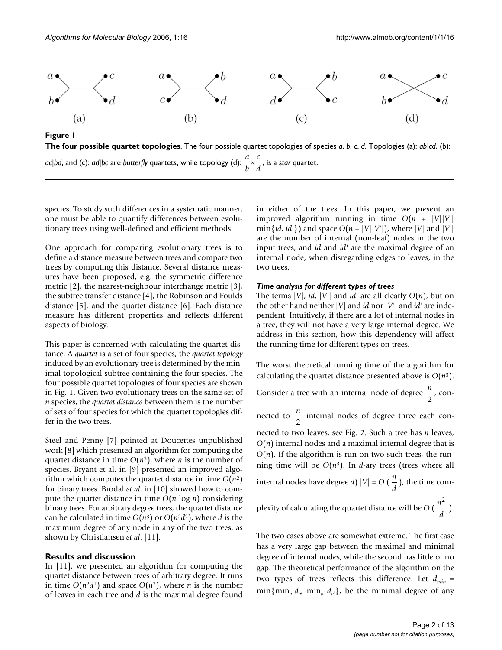

**The four possible quartet topologies**. The four possible quartet topologies of species *a*, *b*, *c*, *d*. Topologies (a): *ab*|*cd*, (b): *ac\bd,* and (c): *ad\bc* are *butterfly* quartets, while topology (d):  $\,^a \times \,^c$  , , is a *star* quartet. *b c d* ×

species. To study such differences in a systematic manner, one must be able to quantify differences between evolutionary trees using well-defined and efficient methods.

One approach for comparing evolutionary trees is to define a distance measure between trees and compare two trees by computing this distance. Several distance measures have been proposed, e.g. the symmetric difference metric [2], the nearest-neighbour interchange metric [3], the subtree transfer distance [4], the Robinson and Foulds distance [5], and the quartet distance [6]. Each distance measure has different properties and reflects different aspects of biology.

This paper is concerned with calculating the quartet distance. A *quartet* is a set of four species, the *quartet topology* induced by an evolutionary tree is determined by the minimal topological subtree containing the four species. The four possible quartet topologies of four species are shown in Fig. 1. Given two evolutionary trees on the same set of *n* species, the *quartet distance* between them is the number of sets of four species for which the quartet topologies differ in the two trees.

Steel and Penny [7] pointed at Doucettes unpublished work [8] which presented an algorithm for computing the quartet distance in time  $O(n^3)$ , where *n* is the number of species. Bryant et al. in [9] presented an improved algorithm which computes the quartet distance in time *O*(*n*2) for binary trees. Brodal *et al*. in [10] showed how to compute the quartet distance in time *O*(*n* log *n*) considering binary trees. For arbitrary degree trees, the quartet distance can be calculated in time  $O(n^3)$  or  $O(n^2d^2)$ , where *d* is the maximum degree of any node in any of the two trees, as shown by Christiansen *et al*. [11].

## **Results and discussion**

In [11], we presented an algorithm for computing the quartet distance between trees of arbitrary degree. It runs in time  $O(n^2d^2)$  and space  $O(n^2)$ , where *n* is the number of leaves in each tree and *d* is the maximal degree found

in either of the trees. In this paper, we present an improved algorithm running in time  $O(n + |V||V'|)$ min $\{id, id'\}$  and space  $O(n + |V||V'|)$ , where  $|V|$  and  $|V'|$ are the number of internal (non-leaf) nodes in the two input trees, and *id* and *id'* are the maximal degree of an internal node, when disregarding edges to leaves, in the two trees.

#### *Time analysis for different types of trees*

The terms  $|V|$ , *id*,  $|V'|$  and *id'* are all clearly  $O(n)$ , but on the other hand neither |*V*| and *id* nor |*V'*| and *id'* are independent. Intuitively, if there are a lot of internal nodes in a tree, they will not have a very large internal degree. We address in this section, how this dependency will affect the running time for different types on trees.

The worst theoretical running time of the algorithm for calculating the quartet distance presented above is  $O(n^3)$ .

Consider a tree with an internal node of degree  $\frac{n}{\epsilon}$ , con-2

nected to  $\frac{n}{2}$  internal nodes of degree three each con-2

nected to two leaves, see Fig. 2. Such a tree has *n* leaves, *O*(*n*) internal nodes and a maximal internal degree that is  $O(n)$ . If the algorithm is run on two such trees, the running time will be  $O(n^3)$ . In *d*-ary trees (trees where all internal nodes have degree *d*)  $|V| = O\left(\frac{n}{l}\right)$ , the time com*d* 2

plexity of calculating the quartet distance will be  $O\left(\frac{n^2}{n}\right)$ . *d*

The two cases above are somewhat extreme. The first case has a very large gap between the maximal and minimal degree of internal nodes, while the second has little or no gap. The theoretical performance of the algorithm on the two types of trees reflects this difference. Let  $d_{min}$  =  $\min\{\min_{v} d_{v'} \min_{v'} d_{v'}\}$ , be the minimal degree of any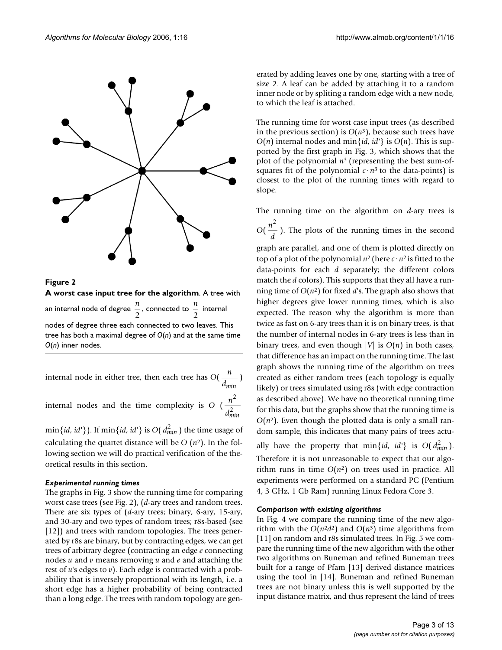



internal node in either tree, then each tree has  $O(\frac{n}{\cdot})$ *dmin*

internal nodes and the time complexity is  $O\left(\frac{n}{2}\right)$ *d* 2 2 *min*

 $\min\{id, \, id'\}$  ). If  $\min\{id, \, id'\}$  is  $O(\, d_{min}^2)$  the time usage of calculating the quartet distance will be  $O(n^2)$ . In the following section we will do practical verification of the theoretical results in this section.

## *Experimental running times*

The graphs in Fig. 3 show the running time for comparing worst case trees (see Fig. 2), (*d*-ary trees and random trees. There are six types of (*d*-ary trees; binary, 6-ary, 15-ary, and 30-ary and two types of random trees; r8s-based (see [12]) and trees with random topologies. The trees generated by r8s are binary, but by contracting edges, we can get trees of arbitrary degree (contracting an edge *e* connecting nodes *u* and *v* means removing *u* and *e* and attaching the rest of *u*'s edges to *v*). Each edge is contracted with a probability that is inversely proportional with its length, i.e. a short edge has a higher probability of being contracted than a long edge. The trees with random topology are generated by adding leaves one by one, starting with a tree of size 2. A leaf can be added by attaching it to a random inner node or by spliting a random edge with a new node, to which the leaf is attached.

The running time for worst case input trees (as described in the previous section) is  $O(n^3)$ , because such trees have  $O(n)$  internal nodes and min $\{id, id\}$  is  $O(n)$ . This is supported by the first graph in Fig. 3, which shows that the plot of the polynomial *n*3 (representing the best sum-ofsquares fit of the polynomial  $c \cdot n^3$  to the data-points) is closest to the plot of the running times with regard to slope.

The running time on the algorithm on *d*-ary trees is  $O(\frac{n^2}{n})$ . The plots of the running times in the second graph are parallel, and one of them is plotted directly on top of a plot of the polynomial  $n^2$  (here  $c \cdot n^2$  is fitted to the data-points for each *d* separately; the different colors match the *d* colors). This supports that they all have a running time of *O*(*n*2) for fixed *d*'s. The graph also shows that higher degrees give lower running times, which is also expected. The reason why the algorithm is more than twice as fast on 6-ary trees than it is on binary trees, is that the number of internal nodes in 6-ary trees is less than in binary trees, and even though  $|V|$  is  $O(n)$  in both cases, that difference has an impact on the running time. The last graph shows the running time of the algorithm on trees created as either random trees (each topology is equally likely) or trees simulated using r8s (with edge contraction as described above). We have no theoretical running time for this data, but the graphs show that the running time is  $O(n^2)$ . Even though the plotted data is only a small ran*d* 2

ally have the property that  $\min\{id, id\}$  is  $O(d_{min}^2)$ . Therefore it is not unreasonable to expect that our algorithm runs in time  $O(n^2)$  on trees used in practice. All experiments were performed on a standard PC (Pentium 4, 3 GHz, 1 Gb Ram) running Linux Fedora Core 3.

dom sample, this indicates that many pairs of trees actu-

## *Comparison with existing algorithms*

In Fig. 4 we compare the running time of the new algorithm with the  $O(n^2d^2)$  and  $O(n^3)$  time algorithms from [11] on random and r8s simulated trees. In Fig. 5 we compare the running time of the new algorithm with the other two algorithms on Buneman and refined Buneman trees built for a range of Pfam [13] derived distance matrices using the tool in [14]. Buneman and refined Buneman trees are not binary unless this is well supported by the input distance matrix, and thus represent the kind of trees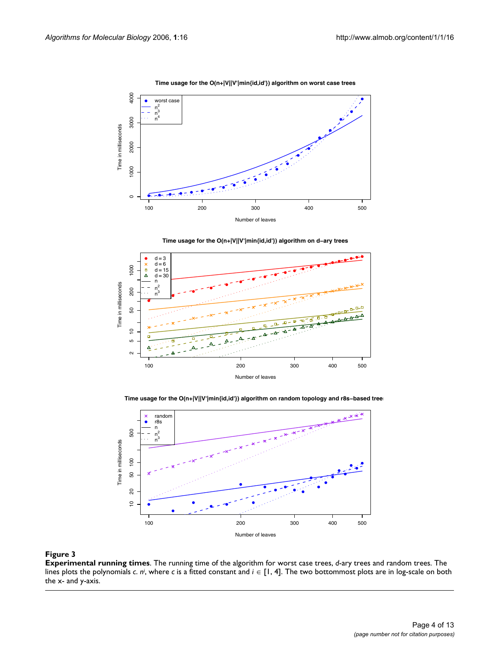Δ

 $\alpha$ 



**Time usage for the O(n+|V||V'|min{id,id'}) algorithm on worst case trees**



**Time usage for the O(n+|V||V'|min{id,id'}) algorithm on d−ary trees**



100 200 300 400 500

Number of leaves



## **Figure 3**

**Experimental running times**. The running time of the algorithm for worst case trees, *d*-ary trees and random trees. The lines plots the polynomials *c. n<sup>i</sup>*, where *c* is a fitted constant and *i* ∈ [1, 4]. The two bottommost plots are in log-scale on both the x- and y-axis.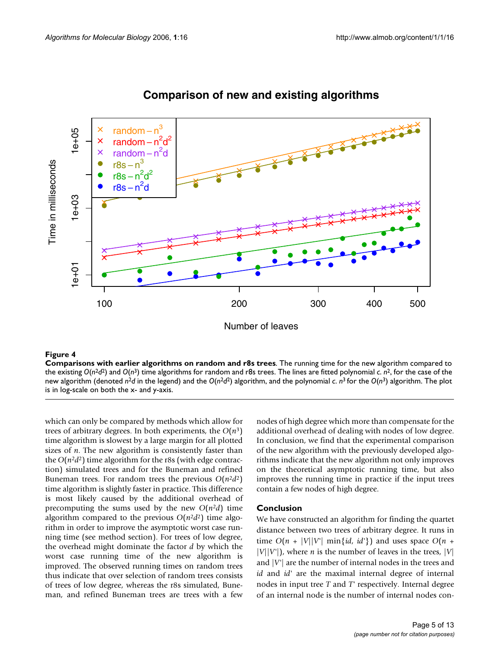

## **Comparison of new and existing algorithms**

## Figure 4

**Comparisons with earlier algorithms on random and r8s trees**. The running time for the new algorithm compared to the existing  $O(n^2d^2)$  and  $O(n^3)$  time algorithms for random and r8s trees. The lines are fitted polynomial *c*.  $n^2$ , for the case of the new algorithm (denoted *n*<sup>2</sup>*d* in the legend) and the *O*(*n*<sup>2</sup>*d*2) algorithm, and the polynomial *c*. *n*3 for the *O*(*n*3) algorithm. The plot is in log-scale on both the x- and y-axis.

which can only be compared by methods which allow for trees of arbitrary degrees. In both experiments, the  $O(n^3)$ time algorithm is slowest by a large margin for all plotted sizes of *n*. The new algorithm is consistently faster than the  $O(n^2d^2)$  time algorithm for the r8s (with edge contraction) simulated trees and for the Buneman and refined Buneman trees. For random trees the previous  $O(n^2d^2)$ time algorithm is slightly faster in practice. This difference is most likely caused by the additional overhead of precomputing the sums used by the new  $O(n^2d)$  time algorithm compared to the previous  $O(n^2d^2)$  time algorithm in order to improve the asymptotic worst case running time (see method section). For trees of low degree, the overhead might dominate the factor *d* by which the worst case running time of the new algorithm is improved. The observed running times on random trees thus indicate that over selection of random trees consists of trees of low degree, whereas the r8s simulated, Buneman, and refined Buneman trees are trees with a few nodes of high degree which more than compensate for the additional overhead of dealing with nodes of low degree. In conclusion, we find that the experimental comparison of the new algorithm with the previously developed algorithms indicate that the new algorithm not only improves on the theoretical asymptotic running time, but also improves the running time in practice if the input trees contain a few nodes of high degree.

## **Conclusion**

We have constructed an algorithm for finding the quartet distance between two trees of arbitrary degree. It runs in time  $O(n + |V||V'| \min\{id, id\})$  and uses space  $O(n +$  $|V||V'|$ , where *n* is the number of leaves in the trees, |V| and |*V'*| are the number of internal nodes in the trees and *id* and *id'* are the maximal internal degree of internal nodes in input tree *T* and *T'* respectively. Internal degree of an internal node is the number of internal nodes con-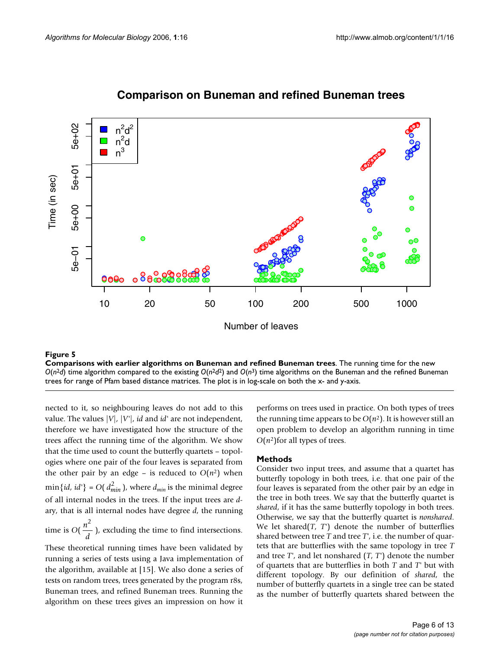

## **Comparison on Buneman and refined Buneman trees**

## Comparisons with earlier algorithms **Figure 5** on Buneman and refined Buneman trees

**Comparisons with earlier algorithms on Buneman and refined Buneman trees**. The running time for the new  $O(n^2d)$  time algorithm compared to the existing  $O(n^2d^2)$  and  $O(n^3)$  time algorithms on the Buneman and the refined Buneman trees for range of Pfam based distance matrices. The plot is in log-scale on both the x- and y-axis.

nected to it, so neighbouring leaves do not add to this value. The values |*V*|, |*V'*|, *id* and *id'* are not independent, therefore we have investigated how the structure of the trees affect the running time of the algorithm. We show that the time used to count the butterfly quartets – topologies where one pair of the four leaves is separated from the other pair by an edge – is reduced to  $O(n^2)$  when  $\min\{id, id'\} = O(d_{min}^2)$ , where  $d_{min}$  is the minimal degree of all internal nodes in the trees. If the input trees are *d*ary, that is all internal nodes have degree *d*, the running time is  $O(\frac{n^2}{n})$ , excluding the time to find intersections. *d* 2

These theoretical running times have been validated by running a series of tests using a Java implementation of the algorithm, available at [15]. We also done a series of tests on random trees, trees generated by the program r8s, Buneman trees, and refined Buneman trees. Running the algorithm on these trees gives an impression on how it performs on trees used in practice. On both types of trees the running time appears to be  $O(n^2)$ . It is however still an open problem to develop an algorithm running in time  $O(n^2)$  for all types of trees.

## **Methods**

Consider two input trees, and assume that a quartet has butterfly topology in both trees, i.e. that one pair of the four leaves is separated from the other pair by an edge in the tree in both trees. We say that the butterfly quartet is *shared*, if it has the same butterfly topology in both trees. Otherwise, we say that the butterfly quartet is *nonshared*. We let shared(*T*, *T'*) denote the number of butterflies shared between tree *T* and tree *T'*, i.e. the number of quartets that are butterflies with the same topology in tree *T* and tree *T'*, and let nonshared (*T*, *T'*) denote the number of quartets that are butterflies in both *T* and *T'* but with different topology. By our definition of *shared*, the number of butterfly quartets in a single tree can be stated as the number of butterfly quartets shared between the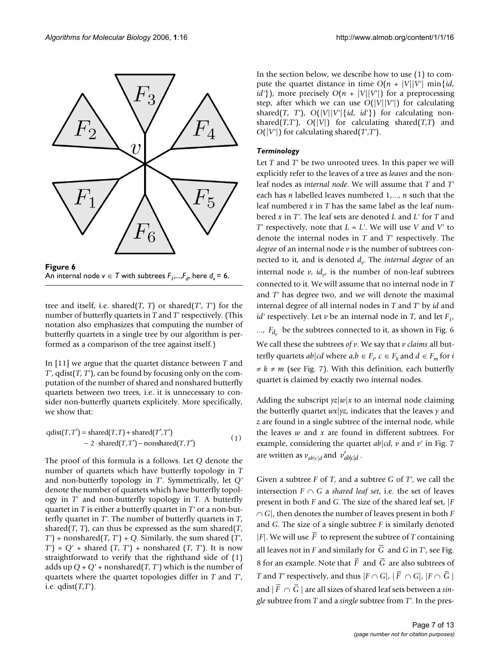

An internal node *v* ∈ *T* with subtrees *F*1,...,*Fd*, here *d* **Figure 6** *<sup>v</sup>*= 6 An internal node  $v \in T$  with subtrees  $F_1, ..., F_d$ , here  $d_v = 6$ .

tree and itself, i.e. shared( $T$ ,  $T$ ) or shared( $T'$ ,  $T'$ ) for the number of butterfly quartets in *T* and *T'* respectively. (This notation also emphasizes that computing the number of butterfly quartets in a single tree by our algorithm is performed as a comparison of the tree against itself.)

In [11] we argue that the quartet distance between *T* and *T'*, qdist(*T*, *T'*), can be found by focusing only on the computation of the number of shared and nonshared butterfly quartets between two trees, i.e. it is unnecessary to consider non-butterfly quartets explicitely. More specifically, we show that:

$$
qdist(T, T') = shared(T, T) + shared(T', T')
$$
  
- 2 \cdot shared(T, T') – nonshared(T, T') (1)

The proof of this formula is a follows. Let *Q* denote the number of quartets which have butterfly topology in *T* and non-butterfly topology in *T'*. Symmetrically, let *Q'* denote the number of quartets which have butterfly topology in *T'* and non-butterfly topology in T. A butterfly quartet in *T* is either a butterfly quartet in *T'* or a non-butterfly quartet in *T'*. The number of butterfly quartets in *T*, shared(*T*, *T*), can thus be expressed as the sum shared(*T*, *T'*) + nonshared(*T*, *T'*) + *Q*. Similarly, the sum shared (*T'*, *T'*) = *Q'* + shared (*T*, *T'*) + nonshared (*T*, *T'*). It is now straightforward to verify that the righthand side of (1) adds up  $Q + Q'$  + nonshared(*T*, *T*<sup>'</sup>) which is the number of quartets where the quartet topologies differ in *T* and *T'*, i.e. qdist(*T*,*T'*).

In the section below, we describe how to use (1) to compute the quartet distance in time  $O(n + |V||V'| \min \{id,$ *id'*}), more precisely  $O(n + |V||V'|)$  for a preprocessing step, after which we can use *O*(|*V*||*V'*|) for calculating shared(*T*, *T*'),  $O(|V||V'|\{id, id'\})$  for calculating nonshared( $T$ , $T$ '),  $O(|V|)$  for calculating shared( $T$ , $T$ ) and *O*(|*V'*|) for calculating shared(*T'*,*T'*).

## *Terminology*

Let *T* and *T'* be two unrooted trees. In this paper we will explicitly refer to the leaves of a tree as *leaves* and the nonleaf nodes as *internal node*. We will assume that *T* and *T'* each has *n* labelled leaves numbered 1,..., *n* such that the leaf numbered *x* in *T* has the same label as the leaf numbered *x* in *T'*. The leaf sets are denoted *L* and *L'* for *T* and *T'* respectively, note that *L* = *L'*. We will use *V* and *V'* to denote the internal nodes in *T* and *T'* respectively. The *degree* of an internal node *v* is the number of subtrees connected to it, and is denoted  $d_v$ . The *internal degree* of an internal node  $v$ ,  $id_{v}$  is the number of non-leaf subtrees connected to it. We will assume that no internal node in *T* and *T'* has degree two, and we will denote the maximal internal degree of all internal nodes in *T* and *T'* by *id* and *id'* respectively. Let  $\nu$  be an internal node in *T*, and let  $F_1$ ,  $..., F_{d_v}$  be the subtrees connected to it, as shown in Fig. 6 We call these the subtrees *of v*. We say that *v claims* all butterfly quartets  $ab|cd$  where  $a,b \in F_i$ ,  $c \in F_k$  and  $d \in F_m$  for *i*  $\neq k \neq m$  (see Fig. 7). With this definition, each butterfly quartet is claimed by exactly two internal nodes.

Adding the subscript  $yz|w|x|$  to an internal node claiming the butterfly quartet *wx*|*yz*, indicates that the leaves *y* and *z* are found in a single subtree of the internal node, while the leaves *w* and *x* are found in different subtrees. For example, considering the quartet *ab*|*cd*, *v* and *v'* in Fig. 7 are written as  $v_{ab|c|d}$  and  $v'_{ab|c|d}$ .

Given a subtree *F* of *T*, and a subtree *G* of *T'*, we call the intersection  $F \cap G$  a *shared leaf set*, i.e. the set of leaves present in both *F* and *G*. The size of the shared leaf set, |*F* ∩ *G*|, then denotes the number of leaves present in both *F* and *G*. The size of a single subtree *F* is similarly denoted  $|F|$ . We will use F to represent the subtree of T containing all leaves not in  $F$  and similarly for  $G$  and  $G$  in  $T'$ , see Fig. 8 for an example. Note that F and G are also subtrees of *T* and *T'* respectively, and thus  $|F \cap G|$ ,  $|F \cap G|$ ,  $|F \cap G|$ and  $|F \cap G|$  are all sizes of shared leaf sets between a *single* subtree from *T* and a *single* subtree from *T'*. In the pres-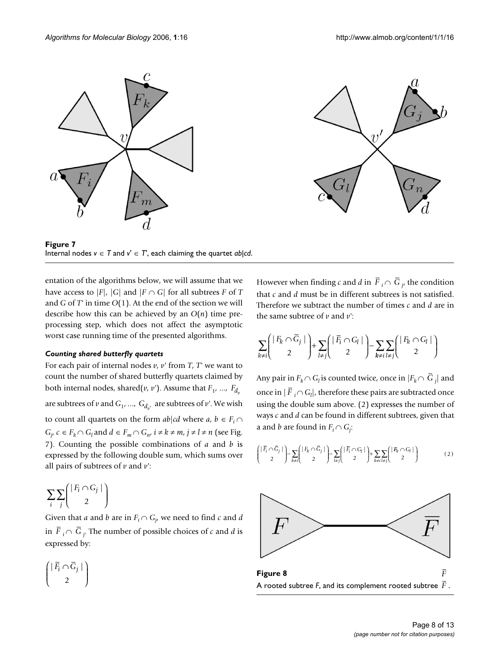



**Figure 7** Internal nodes  $v \in T$  and  $v' \in T'$ , each claiming the quartet *ab*|*cd*.

entation of the algorithms below, we will assume that we have access to  $|F|$ ,  $|G|$  and  $|F \cap G|$  for all subtrees *F* of *T* and *G* of *T'* in time *O*(1). At the end of the section we will describe how this can be achieved by an *O*(*n*) time preprocessing step, which does not affect the asymptotic worst case running time of the presented algorithms.

## *Counting shared butterfly quartets*

For each pair of internal nodes *v*, *v'* from *T*, *T'* we want to count the number of shared butterfly quartets claimed by both internal nodes, shared( $v$ ,  $v$ '). Assume that  $F_1$ , ...,  $F_{d_v}$ are subtrees of  $v$  and  $G_1$ , ...,  $G_{d_{v^{'}}}$  are subtrees of  $v^{\cdot}$ . We wish to count all quartets on the form  $ab|cd$  where  $a, b \in F_i \cap$  $G_j$ ,  $c \in F_k \cap G_l$  and  $d \in F_m \cap G_{n'}$ ,  $i \neq k \neq m$ ,  $j \neq l \neq n$  (see Fig. 7). Counting the possible combinations of *a* and *b* is expressed by the following double sum, which sums over all pairs of subtrees of *v* and *v'*:

$$
\sum_i \sum_j \binom{|F_i \cap G_j|}{2}
$$

Given that *a* and *b* are in  $F_i \cap G_j$ , we need to find *c* and *d* in  $F_i \cap G_j$ . The number of possible choices of *c* and *d* is expressed by:

$$
\begin{pmatrix} |\bar{F}_i \cap \bar{G}_j | \\ 2 \end{pmatrix}
$$

However when finding *c* and *d* in  $F_i \cap G_j$  the condition that *c* and *d* must be in different subtrees is not satisfied. Therefore we subtract the number of times *c* and *d* are in the same subtree of  $\nu$  and  $\nu'$ :

$$
\sum_{k\neq i} \left(\begin{array}{c} |F_k \cap \overline{G}_j| \\ 2 \end{array}\right) + \sum_{l\neq j} \left(\begin{array}{c} |\overline{F}_i \cap G_l| \\ 2 \end{array}\right) - \sum_{k\neq i} \sum_{l\neq j} \left(\begin{array}{c} |F_k \cap G_l| \\ 2 \end{array}\right)
$$

Any pair in  $F_k \cap G_l$  is counted twice, once in  $|F_k \cap G_j|$  and once in  $|F|_i \cap G_l|$ , therefore these pairs are subtracted once using the double sum above. (2) expresses the number of ways *c* and *d* can be found in different subtrees, given that a and *b* are found in  $F_i \cap G_j$ :

$$
\begin{pmatrix}\n|\bar{F}_i \cap \bar{G}_j| \\
2\n\end{pmatrix} - \sum_{k \neq i} \begin{pmatrix}\n|F_k \cap \bar{G}_j|\n\\2\n\end{pmatrix} - \sum_{l \neq j} \begin{pmatrix}\n|\bar{F}_i \cap G_l|\n\\2\n\end{pmatrix} + \sum_{k \neq i} \sum_{l \neq j} \begin{pmatrix}\n|R_k \cap G_l|\n\\2\n\end{pmatrix}
$$
\n(2)

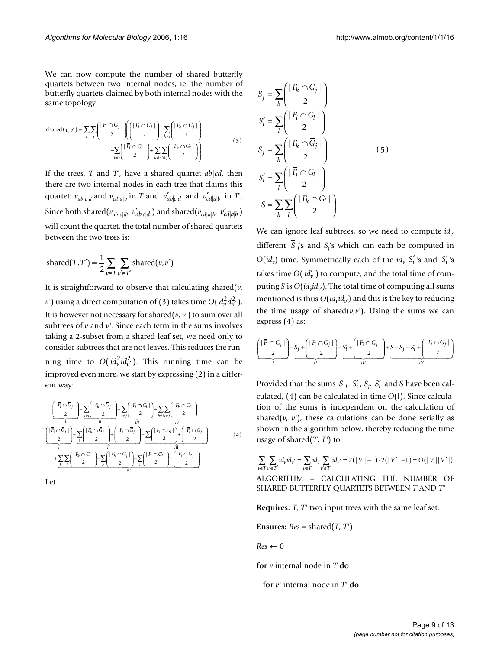We can now compute the number of shared butterfly quartets between two internal nodes, ie. the number of butterfly quartets claimed by both internal nodes with the same topology:

$$
\text{shared}(v, v') = \sum_{i} \sum_{j} \left( \frac{|\vec{F}_i \cap G_j|}{2} \right) \left( \frac{|\vec{F}_i \cap \vec{G}_j|}{2} \right) - \sum_{k \neq i} \left( \frac{|\vec{F}_k \cap \vec{G}_j|}{2} \right)
$$
  

$$
- \sum_{l \neq j} \left( \frac{|\vec{F}_i \cap G_l|}{2} \right) + \sum_{k \neq i} \sum_{l \neq j} \left( \frac{|\vec{F}_k \cap \vec{G}_l|}{2} \right)
$$
(3)

If the trees, *T* and *T'*, have a shared quartet *ab*|*cd*, then there are two internal nodes in each tree that claims this quartet:  $v_{ab|c|d}$  and  $v_{cd|a|b}$  in *T* and  $v'_{ab|c|d}$  and  $v'_{cd|a|b}$  in *T*'. Since both shared $(v_{ab|c|d}, v_{ab|c|d}^{\prime})$  and shared $(v_{cd|a|b}, v_{cd|a|b}^{\prime})$ will count the quartet, the total number of shared quartets between the two trees is:

shared
$$
(T, T')
$$
 =  $\frac{1}{2} \sum_{v \in T} \sum_{v' \in T'}$  shared $(v, v')$ 

It is straightforward to observe that calculating shared(*v*,  $\nu$ ') using a direct computation of (3) takes time *O*(  $d_{\nu}^2 d_{\nu}^2$  ). It is however not necessary for shared( $v$ ,  $v'$ ) to sum over all subtrees of *v* and *v'*. Since each term in the sums involves taking a 2-subset from a shared leaf set, we need only to consider subtrees that are not leaves. This reduces the running time to  $O(id_v^2 id_{v'}^2)$ . This running time can be improved even more, we start by expressing (2) in a different way:

$$
\underbrace{\left(\left|\frac{\overline{F}_i\cap\overline{G}_j}{2}\right|\right)}_{I} = \underbrace{\sum_{k\neq i}\left(\left|\frac{F_k\cap\overline{G}_j}{2}\right|\right)}_{II} = \underbrace{\sum_{k\neq j}\left(\left|\frac{\overline{F}_i\cap G_l}{2}\right|\right)}_{II} + \underbrace{\sum_{k\neq i}\sum_{l\neq j}\left(\left|\frac{F_k\cap G_l}{2}\right|\right)}_{IV} = \underbrace{\sum_{k\neq i}\left(\frac{F_i\cap G_l}{2}\right)}_{III} + \underbrace{\sum_{k\neq j}\left(\left|\frac{F_k\cap G_l}{2}\right|\right)}_{II} + \underbrace{\sum_{k\neq j}\left(\left|\frac{F_k\cap G_l}{2}\right|\right)}_{IV} - \underbrace{\sum_{l}\left(\left|\frac{F_l\cap G_l}{2}\right|\right)}_{IV} + \underbrace{\sum_{k\neq j}\left(\left|\frac{F_k\cap G_l}{2}\right|\right)}_{IV} - \underbrace{\sum_{k\neq j}\left(\left|\frac{F_k\cap G_l}{2}\right|\right)}_{IV} - \underbrace{\sum_{k\neq j}\left(\left|\frac{F_k\cap G_l}{2}\right|\right)}_{IV} + \underbrace{\sum_{k\neq j}\left(\left|\frac{F_k\cap G_l}{2}\right|\right)}_{IV} - \underbrace{\sum_{k\neq j}\left(\left|\frac{F_k\cap G_l}{2}\right|\right)}_{IV} + \underbrace{\sum_{k\neq j}\left(\left|\frac{F_k\cap G_l}{2}\right|\right)}_{IV} - \underbrace{\sum_{l\neq j}\left(\left|\frac{F_k\cap G_l}{2}\right|\right)}_{IV}
$$
(4)

Let

$$
S_{j} = \sum_{k} \begin{pmatrix} |F_{k} \cap G_{j}| \\ 2 \end{pmatrix}
$$
  
\n
$$
S'_{i} = \sum_{l} \begin{pmatrix} |F_{i} \cap G_{l}| \\ 2 \end{pmatrix}
$$
  
\n
$$
\overline{S}_{j} = \sum_{k} \begin{pmatrix} |F_{k} \cap \overline{G}_{j}| \\ 2 \end{pmatrix}
$$
  
\n
$$
\overline{S}'_{i} = \sum_{l} \begin{pmatrix} |\overline{F}_{i} \cap G_{l}| \\ 2 \end{pmatrix}
$$
  
\n
$$
S = \sum_{k} \sum_{l} \begin{pmatrix} |F_{k} \cap G_{l}| \\ 2 \end{pmatrix}
$$

We can ignore leaf subtrees, so we need to compute *id*<sub>v</sub> different  $S_j$ 's and  $S_j$ 's which can each be computed in  $O(id_v)$  time. Symmetrically each of the  $id_v$   $\overline{S'_i}$ 's and  $S'_i$ 's takes time  $O(\textit{id}_v')$  to compute, and the total time of computing *S* is  $O(id_v id_v)$ . The total time of computing all sums mentioned is thus  $O(id_n id_{n'})$  and this is the key to reducing the time usage of shared( $v, v'$ ). Using the sums we can express (4) as:

$$
\underbrace{\left(\begin{array}{c} |\overline{F}_i \cap \overline{G}_j| \\ 2 \end{array}\right)}_{I} - \underbrace{\overline{S}_j + \left(\begin{array}{c} |F_i \cap \overline{G}_j| \\ 2 \end{array}\right)}_{II} - \underbrace{\overline{S}_i' + \left(\begin{array}{c} |\overline{F}_i \cap G_j| \\ 2 \end{array}\right)}_{III} + \underbrace{S - S_j - S_i' + \left(\begin{array}{c} |F_i \cap G_j| \\ 2 \end{array}\right)}_{IV}
$$

Provided that the sums  $\overline{S}_{j}$ ,  $\overline{S}'_i$ ,  $S_{j}$ ,  $S'_i$  and *S* have been calculated, (4) can be calculated in time *O*(l). Since calculation of the sums is independent on the calculation of shared( $v$ ,  $v'$ ), these calculations can be done serially as shown in the algorithm below, thereby reducing the time usage of shared(*T*, *T'*) to:

$$
\sum_{v \in T} \sum_{v' \in T'} id_{v} id_{v'} = \sum_{v \in T} id_{v} \sum_{v' \in T'} id_{v'} = 2(|V| - 1) \cdot 2(|V'| - 1) = O(|V||V'|)
$$

ALGORITHM – CALCULATING THE NUMBER OF SHARED BUTTERFLY QUARTETS BETWEEN *T* AND *T'*

**Requires:** *T*, *T'* two input trees with the same leaf set.

**Ensures:**  $Res = shared(T, T')$ 

 $Res \leftarrow 0$ 

**for** *v* internal node in *T* **do**

**for** *v'* internal node in *T'* **do**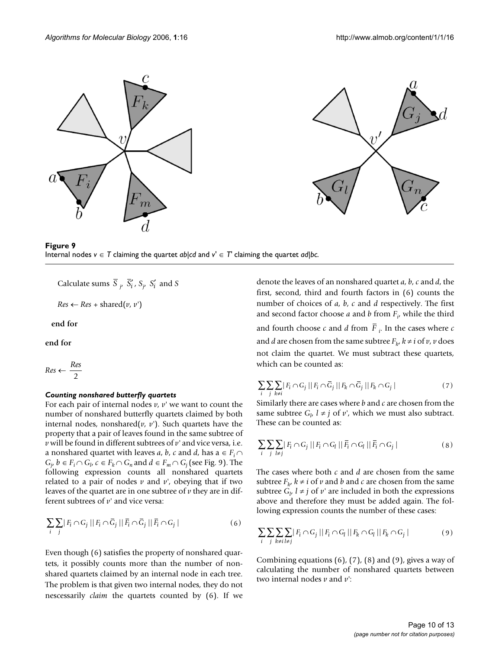





Calculate sums  $S_j$ ,  $S'_i$ ,  $S_j$ ,  $S'_i$  and  $S$ 

 $Res \leftarrow Res + shared(v, v')$ 

**end for**

**end for**

 $Res \leftarrow \frac{Res}{\sqrt{S}}$ 2

## *Counting nonshared butterfly quartets*

For each pair of internal nodes  $v$ ,  $v'$  we want to count the number of nonshared butterfly quartets claimed by both internal nodes, nonshared $(v, v')$ . Such quartets have the property that a pair of leaves found in the same subtree of *v* will be found in different subtrees of *v'* and vice versa, i.e. a nonshared quartet with leaves *a*, *b*, *c* and *d*, has  $a \in F_i \cap$ *G<sub>j</sub>*, *b* ∈ *F<sub>i</sub>*  $\cap$  *G<sub>l</sub>*, *c* ∈ *F<sub>k</sub>*  $\cap$  *G<sub>n</sub>* and *d* ∈ *F<sub>m</sub>*  $\cap$  *G<sub>j</sub>* (see Fig. 9). The following expression counts all nonshared quartets related to a pair of nodes  $\nu$  and  $\nu'$ , obeying that if two leaves of the quartet are in one subtree of *v* they are in different subtrees of *v'* and vice versa:

$$
\sum_{i} \sum_{j} |F_i \cap G_j| |F_i \cap \overline{G}_j| |\overline{F}_i \cap \overline{G}_j| |\overline{F}_i \cap G_j|
$$
 (6)

Even though (6) satisfies the property of nonshared quartets, it possibly counts more than the number of nonshared quartets claimed by an internal node in each tree. The problem is that given two internal nodes, they do not nescessarily *claim* the quartets counted by (6). If we

denote the leaves of an nonshared quartet *a*, *b*, *c* and *d*, the first, second, third and fourth factors in (6) counts the number of choices of *a*, *b*, *c* and *d* respectively. The first and second factor choose *a* and *b* from *Fi* , while the third and fourth choose  $c$  and  $d$  from  $F_i$ . In the cases where  $c$ and *d* are chosen from the same subtree  $F_k$ ,  $k \neq i$  of  $\nu$ ,  $\nu$  does not claim the quartet. We must subtract these quartets, which can be counted as:

$$
\sum_{i} \sum_{j} \sum_{k \neq i} |F_i \cap G_j| |F_i \cap \overline{G}_j| |F_k \cap \overline{G}_j| |F_k \cap G_j|
$$
\n
$$
(7)
$$

Similarly there are cases where *b* and *c* are chosen from the same subtree  $G_l$ ,  $l \neq j$  of  $v'$ , which we must also subtract. These can be counted as:

$$
\sum_{i} \sum_{j} \sum_{l \neq j} |F_i \cap G_j| |F_i \cap G_l| |\bar{F}_i \cap G_l| |\bar{F}_i \cap G_j|
$$
 (8)

The cases where both *c* and *d* are chosen from the same subtree  $F_k$ ,  $k \neq i$  of  $\nu$  and  $b$  and  $c$  are chosen from the same subtree  $G_{\mu}$ ,  $l \neq j$  of  $\nu$  are included in both the expressions above and therefore they must be added again. The following expression counts the number of these cases:

$$
\sum_{i} \sum_{j} \sum_{k \neq i} \sum_{l \neq j} |F_i \cap G_j| |F_i \cap G_l| |F_k \cap G_l| |F_k \cap G_j|
$$
\n(9)

Combining equations (6), (7), (8) and (9), gives a way of calculating the number of nonshared quartets between two internal nodes *v* and *v'*: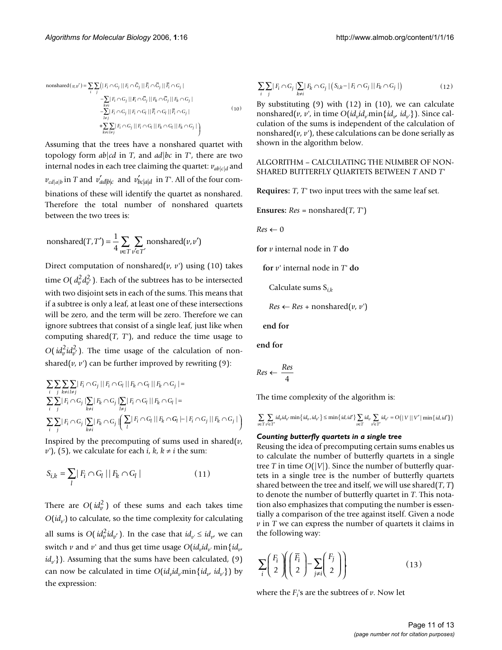nonshared
$$
(v, v') = \sum_{i} \sum_{j} (|F_i \cap G_j| || F_i \cap \overline{G}_j || \overline{F}_i \cap \overline{G}_j || \overline{F}_i \cap G_j |
$$
  
\n
$$
- \sum_{k \neq i} |F_i \cap G_j| || F_i \cap \overline{G}_j || F_k \cap \overline{G}_j || F_k \cap G_j |
$$
\n
$$
- \sum_{l \neq j} |F_l \cap G_j| || F_l \cap G_l || \overline{F}_l \cap G_l || \overline{F}_l \cap G_j |
$$
\n
$$
+ \sum_{k \neq i} |F_i \cap G_j| || F_i \cap G_l || F_k \cap G_l || F_k \cap G_j |
$$
\n(10)

Assuming that the trees have a nonshared quartet with topology form *ab*|*cd* in *T*, and *ad*|*bc* in *T'*, there are two internal nodes in each tree claiming the quartet:  $v_{\text{ab}|c|d}$  and  $v_{cd|a|b}$  in *T* and  $v'_{ad|b|c}$  and  $v'_{bc|a|d}$  in *T*'. All of the four combinations of these will identify the quartet as nonshared. Therefore the total number of nonshared quartets between the two trees is:

nonshared
$$
(T, T') = \frac{1}{4} \sum_{v \in T} \sum_{v' \in T'}
$$
 nonshared $(v, v')$ 

Direct computation of nonshared( $v$ ,  $v'$ ) using (10) takes time  $O(d_v^2 d_{v'}^2)$ . Each of the subtrees has to be intersected with two disjoint sets in each of the sums. This means that if a subtree is only a leaf, at least one of these intersections will be zero, and the term will be zero. Therefore we can ignore subtrees that consist of a single leaf, just like when computing shared $(T, T')$ , and reduce the time usage to *O*( $id_v^2id_{v'}^2$ ). The time usage of the calculation of nonshared( $\nu$ ,  $\nu'$ ) can be further improved by rewriting (9):

$$
\sum_{i} \sum_{j} \sum_{k \neq i} |F_i \cap G_j| |F_i \cap G_l| |F_k \cap G_l| |F_k \cap G_j| =
$$
\n
$$
\sum_{i} \sum_{j} |F_i \cap G_j| \sum_{k \neq i} |F_k \cap G_j| \sum_{l \neq j} |F_i \cap G_l| |F_k \cap G_l| =
$$
\n
$$
\sum_{i} \sum_{j} |F_i \cap G_j| \sum_{k \neq i} |F_k \cap G_j| \left( \sum_{l} |F_i \cap G_l| |F_k \cap G_l| - |F_i \cap G_j| |F_k \cap G_j| \right)
$$

Inspired by the precomputing of sums used in shared $(v,$ *v'*), (5), we calculate for each *i*,  $k$ ,  $k \neq i$  the sum:

$$
S_{i,k} = \sum_{l} |F_i \cap G_l| |F_k \cap G_l|
$$
\n(11)

There are  $O(id_v^2)$  of these sums and each takes time  $O(id_{n})$  to calculate, so the time complexity for calculating all sums is  $O(id_v^2 id_{v'})$ . In the case that  $id_{v'} \leq id_{v'}$  we can switch *v* and *v'* and thus get time usage  $O(id_v_id_v \text{ min}\{id_v\})$ *id<sub>v'</sub>*}). Assuming that the sums have been calculated, (9) can now be calculated in time  $O(id_vid_v\text{min}{id_v, id_v})$  by the expression:

$$
\sum_{i} \sum_{j} |F_{i} \cap G_{j}| \sum_{k \neq i} |F_{k} \cap G_{j}| \left( S_{i,k} - |F_{i} \cap G_{j}| |F_{k} \cap G_{j}| \right) \tag{12}
$$

By substituting (9) with (12) in (10), we can calculate nonshared(*v*, *v'*, in time  $O(id_{v}id_{v'}min{id_{v'}id_{v'}})$ ). Since calculation of the sums is independent of the calculation of nonshared( $v$ ,  $v'$ ), these calculations can be done serially as shown in the algorithm below.

ALGORITHM – CALCULATING THE NUMBER OF NON-SHARED BUTTERFLY QUARTETS BETWEEN *T* AND *T'*

**Requires:** *T*, *T'* two input trees with the same leaf set.

**Ensures:**  $Res = nonshared(T, T')$ 

 $Res \leftarrow 0$ 

**for** *v* internal node in *T* **do**

**for** *v'* internal node in *T'* **do**

Calculate sums S*i*,*<sup>k</sup>*

 $Res \leftarrow Res + nonshared(v, v')$ 

**end for**

**end for**

$$
Res \leftarrow \frac{Res}{4}
$$

The time complexity of the algorithm is:

$$
\sum_{v\in T}\sum_{v'\in T'}id_{v}id_{v'}\min\left\{id_{v'},id_{v'}\right\}\leq\min\left\{id,id'\right\}\sum_{v\in T}id_{v}\sum_{v'\in T'}id_{v'}=O\big(\mid V\mid\mid V'\mid\min\left\{id,id'\right\}\big)
$$

## *Counting butterfly quartets in a single tree*

Reusing the idea of precomputing certain sums enables us to calculate the number of butterfly quartets in a single tree *T* in time  $O(|V|)$ . Since the number of butterfly quartets in a single tree is the number of butterfly quartets shared between the tree and itself, we will use shared(*T*, *T*) to denote the number of butterfly quartet in *T*. This notation also emphasizes that computing the number is essentially a comparison of the tree against itself. Given a node *v* in *T* we can express the number of quartets it claims in the following way:

$$
\sum_{i} \left( \frac{F_i}{2} \right) \left( \frac{\overline{F}_i}{2} \right) - \sum_{j \neq i} \left( \frac{F_j}{2} \right) \right) \tag{13}
$$

where the  $F_i$ 's are the subtrees of  $\nu$ . Now let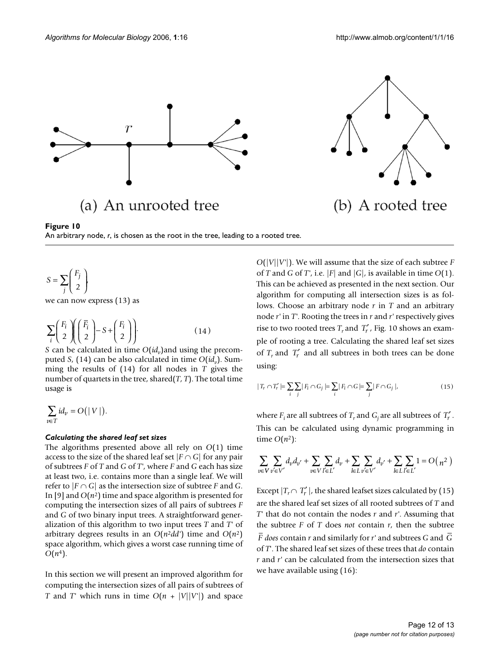



 $S = \sum \frac{F_j}{f}$ *j*  $=\sum$ l I Ì  $\sum_{j} \begin{pmatrix} 1 \\ 2 \end{pmatrix}$ 

we can now express (13) as

$$
\sum_{i} \left( \frac{F_i}{2} \right) \left( \frac{\overline{F}_i}{2} \right) - S + \left( \frac{F_i}{2} \right) \right).
$$
 (14)

*S* can be calculated in time  $O(id_v)$  and using the precomputed *S*, (14) can be also calculated in time  $O(id_{v})$ . Summing the results of (14) for all nodes in *T* gives the number of quartets in the tree, shared(*T*, *T*). The total time usage is

$$
\sum_{v\in T}id_v=O(|V|).
$$

## *Calculating the shared leaf set sizes*

The algorithms presented above all rely on *O*(1) time access to the size of the shared leaf set  $|F \cap G|$  for any pair of subtrees *F* of *T* and *G* of *T'*, where *F* and *G* each has size at least two, i.e. contains more than a single leaf. We will refer to  $|F \cap G|$  as the intersection size of subtree *F* and *G*. In [9] and  $O(n^2)$  time and space algorithm is presented for computing the intersection sizes of all pairs of subtrees *F* and *G* of two binary input trees. A straightforward generalization of this algorithm to two input trees *T* and *T'* of arbitrary degrees results in an  $O(n^2 d d')$  time and  $O(n^2)$ space algorithm, which gives a worst case running time of  $O(n^4)$ .

In this section we will present an improved algorithm for computing the intersection sizes of all pairs of subtrees of *T* and *T'* which runs in time  $O(n + |V||V'|)$  and space *O*(|*V*||*V'*|). We will assume that the size of each subtree *F* of *T* and *G* of *T'*, i.e. |*F*| and |*G*|, is available in time *O*(1). This can be achieved as presented in the next section. Our algorithm for computing all intersection sizes is as follows. Choose an arbitrary node *r* in *T* and an arbitrary node *r'* in *T'*. Rooting the trees in *r* and *r'* respectively gives rise to two rooted trees  $T_r$  and  $T'_r$ , Fig. 10 shows an example of rooting a tree. Calculating the shared leaf set sizes of  $T_r$  and  $T'_r$  and all subtrees in both trees can be done using:

$$
|T_r \cap T'_r| = \sum_i \sum_j |F_i \cap G_j| = \sum_i |F_i \cap G| = \sum_j |F \cap G_j|,
$$
\n(15)

where  $F_i$  are all subtrees of  $T_r$  and  $G_j$  are all subtrees of  $T'_r$ . This can be calculated using dynamic programming in time  $O(n^2)$ :

$$
\sum_{v \in V} \sum_{v' \in V'} d_v d_{v'} + \sum_{v \in V} \sum_{l' \in L'} d_v + \sum_{l \in L} \sum_{v' \in V'} d_{v'} + \sum_{l \in L} \sum_{l' \in L'} 1 = O\Big(\, n^2 \,\Big)
$$

Except  $|T_r \cap T'_r|$ , the shared leafset sizes calculated by (15) are the shared leaf set sizes of all rooted subtrees of *T* and *T'* that do not contain the nodes *r* and *r'*. Assuming that the subtree  $F$  of  $T$  does *not* contain  $r$ , then the subtree *does* contain *r* and similarly for *r'* and subtrees *G* and *F G* of *T*'. The shared leaf set sizes of these trees that *do* contain *r* and *r'* can be calculated from the intersection sizes that we have available using (16):